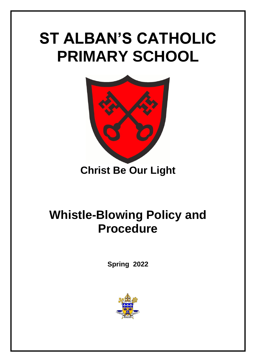# **ST ALBAN'S CATHOLIC PRIMARY SCHOOL**



# **Christ Be Our Light**

# **Whistle-Blowing Policy and Procedure**

**Spring 2022**

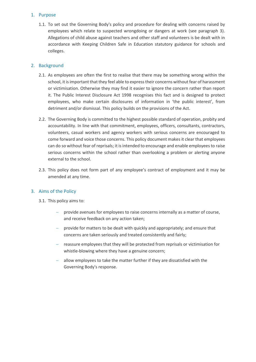# 1. Purpose

1.1. To set out the Governing Body's policy and procedure for dealing with concerns raised by employees which relate to suspected wrongdoing or dangers at work (see paragraph 3). Allegations of child abuse against teachers and other staff and volunteers is be dealt with in accordance with Keeping Children Safe in Education statutory guidance for schools and colleges.

# 2. Background

- 2.1. As employees are often the first to realise that there may be something wrong within the school, it is important that they feel able to express their concerns without fear of harassment or victimisation. Otherwise they may find it easier to ignore the concern rather than report it. The Public Interest Disclosure Act 1998 recognises this fact and is designed to protect employees, who make certain disclosures of information in 'the public interest', from detriment and/or dismissal. This policy builds on the provisions of the Act.
- 2.2. The Governing Body is committed to the highest possible standard of operation, probity and accountability. In line with that commitment, employees, officers, consultants, contractors, volunteers, casual workers and agency workers with serious concerns are encouraged to come forward and voice those concerns. This policy document makes it clear that employees can do so without fear of reprisals; it is intended to encourage and enable employees to raise serious concerns within the school rather than overlooking a problem or alerting anyone external to the school.
- 2.3. This policy does not form part of any employee's contract of employment and it may be amended at any time.

# 3. Aims of the Policy

- 3.1. This policy aims to:
	- provide avenues for employees to raise concerns internally as a matter of course, and receive feedback on any action taken;
	- $-$  provide for matters to be dealt with quickly and appropriately; and ensure that concerns are taken seriously and treated consistently and fairly;
	- reassure employees that they will be protected from reprisals or victimisation for whistle-blowing where they have a genuine concern;
	- allow employees to take the matter further if they are dissatisfied with the Governing Body's response.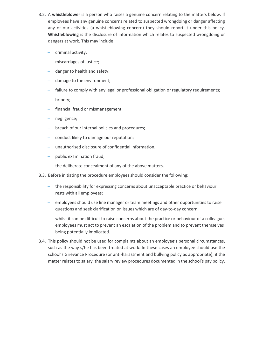- 3.2. A **whistleblower** is a person who raises a genuine concern relating to the matters below. If employees have any genuine concerns related to suspected wrongdoing or danger affecting any of our activities (a whistleblowing concern) they should report it under this policy. **Whistleblowing** is the disclosure of information which relates to suspected wrongdoing or dangers at work. This may include:
	- criminal activity;
	- miscarriages of justice;
	- danger to health and safety;
	- damage to the environment;
	- failure to comply with any legal or professional obligation or regulatory requirements;
	- bribery;
	- financial fraud or mismanagement;
	- negligence;
	- breach of our internal policies and procedures;
	- conduct likely to damage our reputation;
	- unauthorised disclosure of confidential information;
	- public examination fraud;
	- the deliberate concealment of any of the above matters.
- 3.3. Before initiating the procedure employees should consider the following:
	- the responsibility for expressing concerns about unacceptable practice or behaviour rests with all employees;
	- employees should use line manager or team meetings and other opportunities to raise questions and seek clarification on issues which are of day-to-day concern;
	- whilst it can be difficult to raise concerns about the practice or behaviour of a colleague, employees must act to prevent an escalation of the problem and to prevent themselves being potentially implicated.
- 3.4. This policy should not be used for complaints about an employee's personal circumstances, such as the way s/he has been treated at work. In these cases an employee should use the school's Grievance Procedure (or anti-harassment and bullying policy as appropriate); if the matter relates to salary, the salary review procedures documented in the school's pay policy.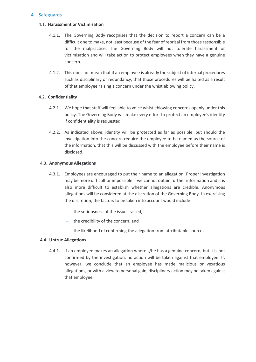# 4. Safeguards

#### 4.1. **Harassment or Victimisation**

- 4.1.1. The Governing Body recognises that the decision to report a concern can be a difficult one to make, not least because of the fear of reprisal from those responsible for the malpractice. The Governing Body will not tolerate harassment or victimisation and will take action to protect employees when they have a genuine concern.
- 4.1.2. This does not mean that if an employee is already the subject of internal procedures such as disciplinary or redundancy, that those procedures will be halted as a result of that employee raising a concern under the whistleblowing policy.

# 4.2. **Confidentiality**

- 4.2.1. We hope that staff will feel able to voice whistleblowing concerns openly under this policy. The Governing Body will make every effort to protect an employee's identity if confidentiality is requested.
- 4.2.2. As indicated above, identity will be protected as far as possible, but should the investigation into the concern require the employee to be named as the source of the information, that this will be discussed with the employee before their name is disclosed.

#### 4.3. **Anonymous Allegations**

- 4.3.1. Employees are encouraged to put their name to an allegation. Proper investigation may be more difficult or impossible if we cannot obtain further information and it is also more difficult to establish whether allegations are credible. Anonymous allegations will be considered at the discretion of the Governing Body. In exercising the discretion, the factors to be taken into account would include:
	- the seriousness of the issues raised;
	- $-$  the credibility of the concern; and
	- the likelihood of confirming the allegation from attributable sources.

#### 4.4. **Untrue Allegations**

4.4.1. If an employee makes an allegation where s/he has a genuine concern, but it is not confirmed by the investigation, no action will be taken against that employee. If, however, we conclude that an employee has made malicious or vexatious allegations, or with a view to personal gain, disciplinary action may be taken against that employee.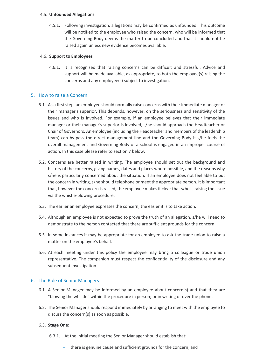#### 4.5. **Unfounded Allegations**

4.5.1. Following investigation, allegations may be confirmed as unfounded. This outcome will be notified to the employee who raised the concern, who will be informed that the Governing Body deems the matter to be concluded and that it should not be raised again unless new evidence becomes available.

# 4.6. **Support to Employees**

4.6.1. It is recognised that raising concerns can be difficult and stressful. Advice and support will be made available, as appropriate, to both the employee(s) raising the concerns and any employee(s) subject to investigation.

# 5. How to raise a Concern

- 5.1. As a first step, an employee should normally raise concerns with their immediate manager or their manager's superior. This depends, however, on the seriousness and sensitivity of the issues and who is involved. For example, if an employee believes that their immediate manager or their manager's superior is involved, s/he should approach the Headteacher or Chair of Governors. An employee (including the Headteacher and members of the leadership team) can by-pass the direct management line and the Governing Body if s/he feels the overall management and Governing Body of a school is engaged in an improper course of action. In this case please refer to section 7 below.
- 5.2. Concerns are better raised in writing. The employee should set out the background and history of the concerns, giving names, dates and places where possible, and the reasons why s/he is particularly concerned about the situation. If an employee does not feel able to put the concern in writing, s/he should telephone or meet the appropriate person. It is important that, however the concern is raised, the employee makes it clear that s/he is raising the issue via the whistle-blowing procedure.
- 5.3. The earlier an employee expresses the concern, the easier it is to take action.
- 5.4. Although an employee is not expected to prove the truth of an allegation, s/he will need to demonstrate to the person contacted that there are sufficient grounds for the concern.
- 5.5. In some instances it may be appropriate for an employee to ask the trade union to raise a matter on the employee's behalf.
- 5.6. At each meeting under this policy the employee may bring a colleague or trade union representative. The companion must respect the confidentiality of the disclosure and any subsequent investigation.

# 6. The Role of Senior Managers

- 6.1. A Senior Manager may be informed by an employee about concern(s) and that they are "blowing the whistle" within the procedure in person; or in writing or over the phone.
- 6.2. The Senior Manager should respond immediately by arranging to meet with the employee to discuss the concern(s) as soon as possible.

# 6.3. **Stage One:**

- 6.3.1. At the initial meeting the Senior Manager should establish that:
	- there is genuine cause and sufficient grounds for the concern; and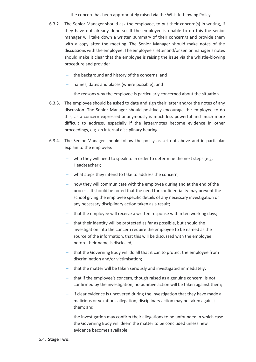- the concern has been appropriately raised via the Whistle-blowing Policy.
- 6.3.2. The Senior Manager should ask the employee, to put their concern(s) in writing, if they have not already done so. If the employee is unable to do this the senior manager will take down a written summary of their concern/s and provide them with a copy after the meeting. The Senior Manager should make notes of the discussions with the employee. The employee's letter and/or senior manager's notes should make it clear that the employee is raising the issue via the whistle-blowing procedure and provide:
	- the background and history of the concerns; and
	- names, dates and places (where possible); and
	- the reasons why the employee is particularly concerned about the situation.
- 6.3.3. The employee should be asked to date and sign their letter and/or the notes of any discussion. The Senior Manager should positively encourage the employee to do this, as a concern expressed anonymously is much less powerful and much more difficult to address, especially if the letter/notes become evidence in other proceedings, e.g. an internal disciplinary hearing.
- 6.3.4. The Senior Manager should follow the policy as set out above and in particular explain to the employee:
	- who they will need to speak to in order to determine the next steps (e.g. Headteacher);
	- what steps they intend to take to address the concern;
	- how they will communicate with the employee during and at the end of the process. It should be noted that the need for confidentiality may prevent the school giving the employee specific details of any necessary investigation or any necessary disciplinary action taken as a result;
	- that the employee will receive a written response within ten working days;
	- that their identity will be protected as far as possible, but should the investigation into the concern require the employee to be named as the source of the information, that this will be discussed with the employee before their name is disclosed;
	- that the Governing Body will do all that it can to protect the employee from discrimination and/or victimisation;
	- that the matter will be taken seriously and investigated immediately;
	- that if the employee's concern, though raised as a genuine concern, is not confirmed by the investigation, no punitive action will be taken against them;
	- if clear evidence is uncovered during the investigation that they have made a malicious or vexatious allegation, disciplinary action may be taken against them; and
	- the investigation may confirm their allegations to be unfounded in which case the Governing Body will deem the matter to be concluded unless new evidence becomes available.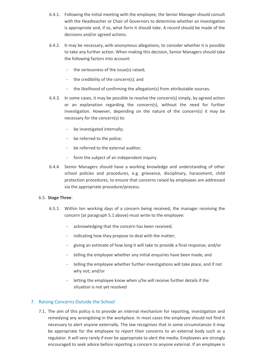- 6.4.1. Following the initial meeting with the employee, the Senior Manager should consult with the Headteacher or Chair of Governors to determine whether an investigation is appropriate and, if so, what form it should take. A record should be made of the decisions and/or agreed actions.
- 6.4.2. It may be necessary, with anonymous allegations, to consider whether it is possible to take any further action. When making this decision, Senior Managers should take the following factors into account:
	- $-$  the seriousness of the issue(s) raised:
	- $-$  the credibility of the concern(s); and
	- $-$  the likelihood of confirming the allegation(s) from attributable sources.
- 6.4.3. In some cases, it may be possible to resolve the concern(s) simply, by agreed action or an explanation regarding the concern(s), without the need for further investigation. However, depending on the nature of the concern(s) it may be necessary for the concern(s) to:
	- be investigated internally;
	- be referred to the police;
	- be referred to the external auditor;
	- $\overline{a}$  form the subject of an independent inquiry
- 6.4.4. Senior Managers should have a working knowledge and understanding of other school policies and procedures, e.g. grievance, disciplinary, harassment, child protection procedures, to ensure that concerns raised by employees are addressed via the appropriate procedure/process.

# 6.5. **Stage Three**:

- 6.5.1. Within ten working days of a concern being received, the manager receiving the concern (at paragraph 5.1 above) must write to the employee:
	- acknowledging that the concern has been received;
	- $-$  indicating how they propose to deal with the matter;
	- giving an estimate of how long it will take to provide a final response; and/or
	- telling the employee whether any initial enquiries have been made; and
	- telling the employee whether further investigations will take place, and if not why not; and/or
	- $-$  letting the employee know when s/he will receive further details if the situation is not yet resolved

# 7. Raising Concerns Outside the School

7.1. The aim of this policy is to provide an internal mechanism for reporting, investigation and remedying any wrongdoing in the workplace. In most cases the employee should not find it necessary to alert anyone externally. The law recognises that in some circumstances it may be appropriate for the employee to report their concerns to an external body such as a regulator. It will very rarely if ever be appropriate to alert the media. Employees are strongly encouraged to seek advice before reporting a concern to anyone external. If an employee is